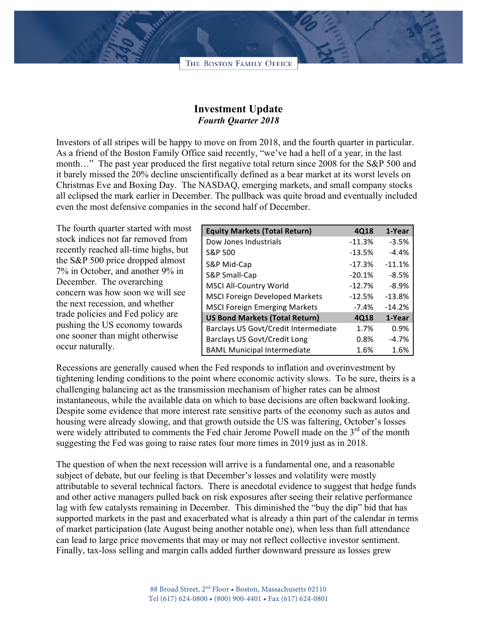THE BOSTON FAMILY OFFICE

## **Investment Update** *Fourth Quarter 2018*

Investors of all stripes will be happy to move on from 2018, and the fourth quarter in particular. As a friend of the Boston Family Office said recently, "we've had a hell of a year, in the last month…" The past year produced the first negative total return since 2008 for the S&P 500 and it barely missed the 20% decline unscientifically defined as a bear market at its worst levels on Christmas Eve and Boxing Day. The NASDAQ, emerging markets, and small company stocks all eclipsed the mark earlier in December. The pullback was quite broad and eventually included even the most defensive companies in the second half of December.

The fourth quarter started with most stock indices not far removed from recently reached all-time highs, but the S&P 500 price dropped almost 7% in October, and another 9% in December. The overarching concern was how soon we will see the next recession, and whether trade policies and Fed policy are pushing the US economy towards one sooner than might otherwise occur naturally.

| <b>Equity Markets (Total Return)</b>  | 4Q18     | 1-Year   |
|---------------------------------------|----------|----------|
| Dow Jones Industrials                 | $-11.3%$ | $-3.5%$  |
| S&P 500                               | $-13.5%$ | $-4.4%$  |
| S&P Mid-Cap                           | $-17.3%$ | $-11.1%$ |
| S&P Small-Cap                         | $-20.1%$ | $-8.5%$  |
| <b>MSCI All-Country World</b>         | $-12.7%$ | $-8.9%$  |
| <b>MSCI Foreign Developed Markets</b> | $-12.5%$ | $-13.8%$ |
| <b>MSCI Foreign Emerging Markets</b>  | $-7.4%$  | $-14.2%$ |
| <b>US Bond Markets (Total Return)</b> | 4Q18     | 1-Year   |
| Barclays US Govt/Credit Intermediate  | 1.7%     | 0.9%     |
| <b>Barclays US Govt/Credit Long</b>   | 0.8%     | $-4.7%$  |
| <b>BAML Municipal Intermediate</b>    | 1.6%     | 1.6%     |

Recessions are generally caused when the Fed responds to inflation and overinvestment by tightening lending conditions to the point where economic activity slows. To be sure, theirs is a challenging balancing act as the transmission mechanism of higher rates can be almost instantaneous, while the available data on which to base decisions are often backward looking. Despite some evidence that more interest rate sensitive parts of the economy such as autos and housing were already slowing, and that growth outside the US was faltering, October's losses were widely attributed to comments the Fed chair Jerome Powell made on the  $3<sup>rd</sup>$  of the month suggesting the Fed was going to raise rates four more times in 2019 just as in 2018.

The question of when the next recession will arrive is a fundamental one, and a reasonable subject of debate, but our feeling is that December's losses and volatility were mostly attributable to several technical factors. There is anecdotal evidence to suggest that hedge funds and other active managers pulled back on risk exposures after seeing their relative performance lag with few catalysts remaining in December. This diminished the "buy the dip" bid that has supported markets in the past and exacerbated what is already a thin part of the calendar in terms of market participation (late August being another notable one), when less than full attendance can lead to large price movements that may or may not reflect collective investor sentiment. Finally, tax-loss selling and margin calls added further downward pressure as losses grew